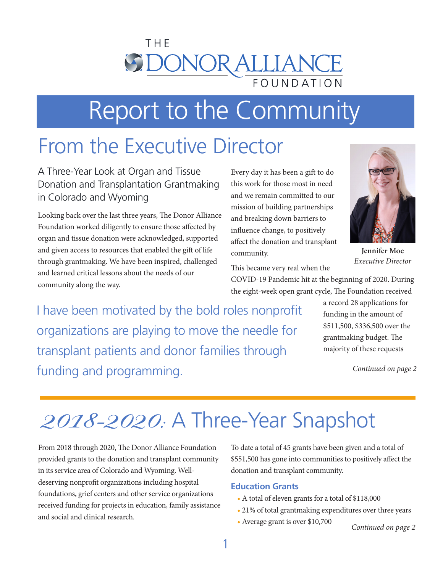

# Report to the Community

## From the Executive Director

A Three-Year Look at Organ and Tissue Donation and Transplantation Grantmaking in Colorado and Wyoming

Looking back over the last three years, The Donor Alliance Foundation worked diligently to ensure those affected by organ and tissue donation were acknowledged, supported and given access to resources that enabled the gift of life through grantmaking. We have been inspired, challenged and learned critical lessons about the needs of our community along the way.

Every day it has been a gift to do this work for those most in need and we remain committed to our mission of building partnerships and breaking down barriers to influence change, to positively affect the donation and transplant community.



**Jennifer Moe** *Executive Director*

This became very real when the

COVID-19 Pandemic hit at the beginning of 2020. During the eight-week open grant cycle, The Foundation received

I have been motivated by the bold roles nonprofit organizations are playing to move the needle for transplant patients and donor families through funding and programming. *Continued on page 2*

a record 28 applications for funding in the amount of \$511,500, \$336,500 over the grantmaking budget. The majority of these requests

# 2018-2020: A Three-Year Snapshot

From 2018 through 2020, The Donor Alliance Foundation provided grants to the donation and transplant community in its service area of Colorado and Wyoming. Welldeserving nonprofit organizations including hospital foundations, grief centers and other service organizations received funding for projects in education, family assistance and social and clinical research.

To date a total of 45 grants have been given and a total of \$551,500 has gone into communities to positively affect the donation and transplant community.

#### **Education Grants**

- A total of eleven grants for a total of \$118,000
- 21% of total grantmaking expenditures over three years
- Average grant is over \$10,700

*Continued on page 2*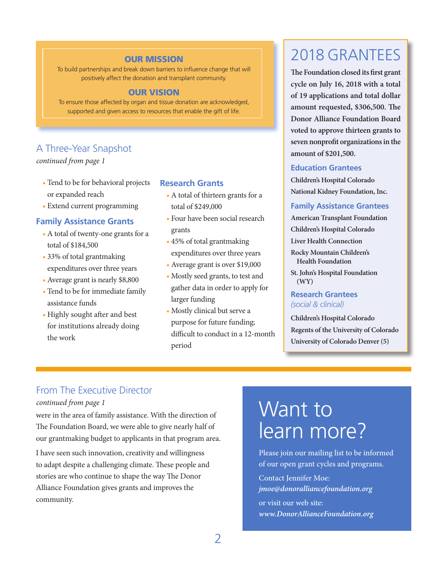#### OUR MISSION

To build partnerships and break down barriers to influence change that will positively affect the donation and transplant community.

#### OUR VISION

To ensure those affected by organ and tissue donation are acknowledged, supported and given access to resources that enable the gift of life.

#### A Three-Year Snapshot

*continued from page 1*

- Tend to be for behavioral projects or expanded reach
- Extend current programming

#### **Family Assistance Grants**

- A total of twenty-one grants for a total of \$184,500
- 33% of total grantmaking expenditures over three years
- Average grant is nearly \$8,800
- Tend to be for immediate family assistance funds
- Highly sought after and best for institutions already doing the work

#### **Research Grants**

- A total of thirteen grants for a total of \$249,000
- Four have been social research grants
- 45% of total grantmaking expenditures over three years
- Average grant is over \$19,000
- Mostly seed grants, to test and gather data in order to apply for larger funding
- Mostly clinical but serve a purpose for future funding; difficult to conduct in a 12-month period

## 2018 GRANTEES

**The Foundation closed its first grant cycle on July 16, 2018 with a total of 19 applications and total dollar amount requested, \$306,500. The Donor Alliance Foundation Board voted to approve thirteen grants to seven nonprofit organizations in the amount of \$201,500.**

#### **Education Grantees**

**Children's Hospital Colorado National Kidney Foundation, Inc.**

#### **Family Assistance Grantees**

**American Transplant Foundation Children's Hospital Colorado**

**Liver Health Connection**

- **Rocky Mountain Children's Health Foundation**
- **St. John's Hospital Foundation (WY)**

#### **Research Grantees** *(social & clinical)*

**Children's Hospital Colorado Regents of the University of Colorado University of Colorado Denver (5)**

#### From The Executive Director

#### *continued from page 1*

were in the area of family assistance. With the direction of The Foundation Board, we were able to give nearly half of our grantmaking budget to applicants in that program area.

I have seen such innovation, creativity and willingness to adapt despite a challenging climate. These people and stories are who continue to shape the way The Donor Alliance Foundation gives grants and improves the community.

## Want to learn more?

Please join our mailing list to be informed of our open grant cycles and programs.

Contact Jennifer Moe: *jmoe@donoralliancefoundation.org* or visit our web site: *www.DonorAllianceFoundation.org*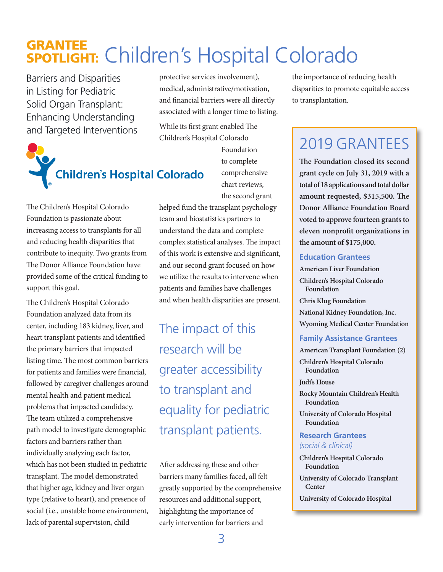## GRANTEE SPOTLIGHT: Children's Hospital Colorado

Barriers and Disparities in Listing for Pediatric Solid Organ Transplant: Enhancing Understanding and Targeted Interventions



The Children's Hospital Colorado Foundation is passionate about increasing access to transplants for all and reducing health disparities that contribute to inequity. Two grants from The Donor Alliance Foundation have provided some of the critical funding to support this goal.

The Children's Hospital Colorado Foundation analyzed data from its center, including 183 kidney, liver, and heart transplant patients and identified the primary barriers that impacted listing time. The most common barriers for patients and families were financial, followed by caregiver challenges around mental health and patient medical problems that impacted candidacy. The team utilized a comprehensive path model to investigate demographic factors and barriers rather than individually analyzing each factor, which has not been studied in pediatric transplant. The model demonstrated that higher age, kidney and liver organ type (relative to heart), and presence of social (i.e., unstable home environment, lack of parental supervision, child

protective services involvement), medical, administrative/motivation, and financial barriers were all directly associated with a longer time to listing.

While its first grant enabled The Children's Hospital Colorado

> Foundation to complete comprehensive chart reviews, the second grant

helped fund the transplant psychology team and biostatistics partners to understand the data and complete complex statistical analyses. The impact of this work is extensive and significant, and our second grant focused on how we utilize the results to intervene when patients and families have challenges and when health disparities are present.

The impact of this research will be greater accessibility to transplant and equality for pediatric transplant patients.

After addressing these and other barriers many families faced, all felt greatly supported by the comprehensive resources and additional support, highlighting the importance of early intervention for barriers and

the importance of reducing health disparities to promote equitable access to transplantation.

## 2019 GRANTEES

**The Foundation closed its second grant cycle on July 31, 2019 with a total of 18 applications and total dollar amount requested, \$315,500. The Donor Alliance Foundation Board voted to approve fourteen grants to eleven nonprofit organizations in the amount of \$175,000.**

#### **Education Grantees**

**American Liver Foundation Children's Hospital Colorado Foundation Chris Klug Foundation National Kidney Foundation, Inc. Wyoming Medical Center Foundation** 

#### **Family Assistance Grantees**

**American Transplant Foundation (2)**

**Children's Hospital Colorado Foundation**

#### **Judi's House**

**Rocky Mountain Children's Health Foundation**

**University of Colorado Hospital Foundation** 

#### **Research Grantees** *(social & clinical)*

**Children's Hospital Colorado Foundation**

**University of Colorado Transplant Center**

**University of Colorado Hospital**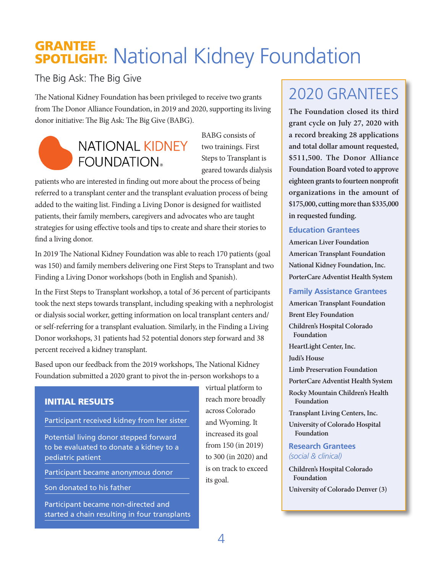## GRANTEE **SPOTLIGHT:** National Kidney Foundation

The Big Ask: The Big Give

The National Kidney Foundation has been privileged to receive two grants from The Donor Alliance Foundation, in 2019 and 2020, supporting its living donor initiative: The Big Ask: The Big Give (BABG).



BABG consists of two trainings. First Steps to Transplant is geared towards dialysis

patients who are interested in finding out more about the process of being referred to a transplant center and the transplant evaluation process of being added to the waiting list. Finding a Living Donor is designed for waitlisted patients, their family members, caregivers and advocates who are taught strategies for using effective tools and tips to create and share their stories to find a living donor.

In 2019 The National Kidney Foundation was able to reach 170 patients (goal was 150) and family members delivering one First Steps to Transplant and two Finding a Living Donor workshops (both in English and Spanish).

In the First Steps to Transplant workshop, a total of 36 percent of participants took the next steps towards transplant, including speaking with a nephrologist or dialysis social worker, getting information on local transplant centers and/ or self-referring for a transplant evaluation. Similarly, in the Finding a Living Donor workshops, 31 patients had 52 potential donors step forward and 38 percent received a kidney transplant.

Based upon our feedback from the 2019 workshops, The National Kidney Foundation submitted a 2020 grant to pivot the in-person workshops to a

#### INITIAL RESULTS

Participant received kidney from her sister

Potential living donor stepped forward to be evaluated to donate a kidney to a pediatric patient

Participant became anonymous donor

Son donated to his father

Participant became non-directed and started a chain resulting in four transplants virtual platform to reach more broadly across Colorado and Wyoming. It increased its goal from 150 (in 2019) to 300 (in 2020) and is on track to exceed its goal.

## 2020 GRANTEES

**The Foundation closed its third grant cycle on July 27, 2020 with a record breaking 28 applications and total dollar amount requested, \$511,500. The Donor Alliance Foundation Board voted to approve eighteen grants to fourteen nonprofit organizations in the amount of \$175,000, cutting more than \$335,000 in requested funding.**

#### **Education Grantees**

**American Liver Foundation American Transplant Foundation National Kidney Foundation, Inc. PorterCare Adventist Health System** 

#### **Family Assistance Grantees**

**American Transplant Foundation Brent Eley Foundation Children's Hospital Colorado Foundation HeartLight Center, Inc.**

**Judi's House**

**Limb Preservation Foundation**

**PorterCare Adventist Health System**

**Rocky Mountain Children's Health Foundation**

**Transplant Living Centers, Inc.**

**University of Colorado Hospital Foundation**

**Research Grantees** *(social & clinical)*

**Children's Hospital Colorado Foundation University of Colorado Denver (3)**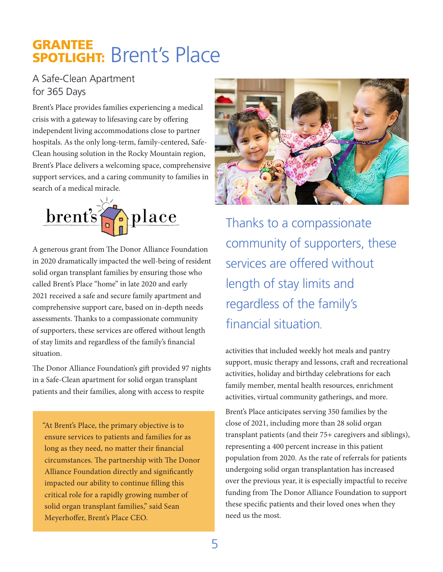### GRANTEE SPOTLIGHT: Brent's Place

#### A Safe-Clean Apartment for 365 Days

Brent's Place provides families experiencing a medical crisis with a gateway to lifesaving care by offering independent living accommodations close to partner hospitals. As the only long-term, family-centered, Safe-Clean housing solution in the Rocky Mountain region, Brent's Place delivers a welcoming space, comprehensive support services, and a caring community to families in search of a medical miracle.



A generous grant from The Donor Alliance Foundation in 2020 dramatically impacted the well-being of resident solid organ transplant families by ensuring those who called Brent's Place "home" in late 2020 and early 2021 received a safe and secure family apartment and comprehensive support care, based on in-depth needs assessments. Thanks to a compassionate community of supporters, these services are offered without length of stay limits and regardless of the family's financial situation.

The Donor Alliance Foundation's gift provided 97 nights in a Safe-Clean apartment for solid organ transplant patients and their families, along with access to respite

"At Brent's Place, the primary objective is to ensure services to patients and families for as long as they need, no matter their financial circumstances. The partnership with The Donor Alliance Foundation directly and significantly impacted our ability to continue filling this critical role for a rapidly growing number of solid organ transplant families," said Sean Meyerhoffer, Brent's Place CEO.



Thanks to a compassionate community of supporters, these services are offered without length of stay limits and regardless of the family's financial situation.

activities that included weekly hot meals and pantry support, music therapy and lessons, craft and recreational activities, holiday and birthday celebrations for each family member, mental health resources, enrichment activities, virtual community gatherings, and more.

Brent's Place anticipates serving 350 families by the close of 2021, including more than 28 solid organ transplant patients (and their 75+ caregivers and siblings), representing a 400 percent increase in this patient population from 2020. As the rate of referrals for patients undergoing solid organ transplantation has increased over the previous year, it is especially impactful to receive funding from The Donor Alliance Foundation to support these specific patients and their loved ones when they need us the most.